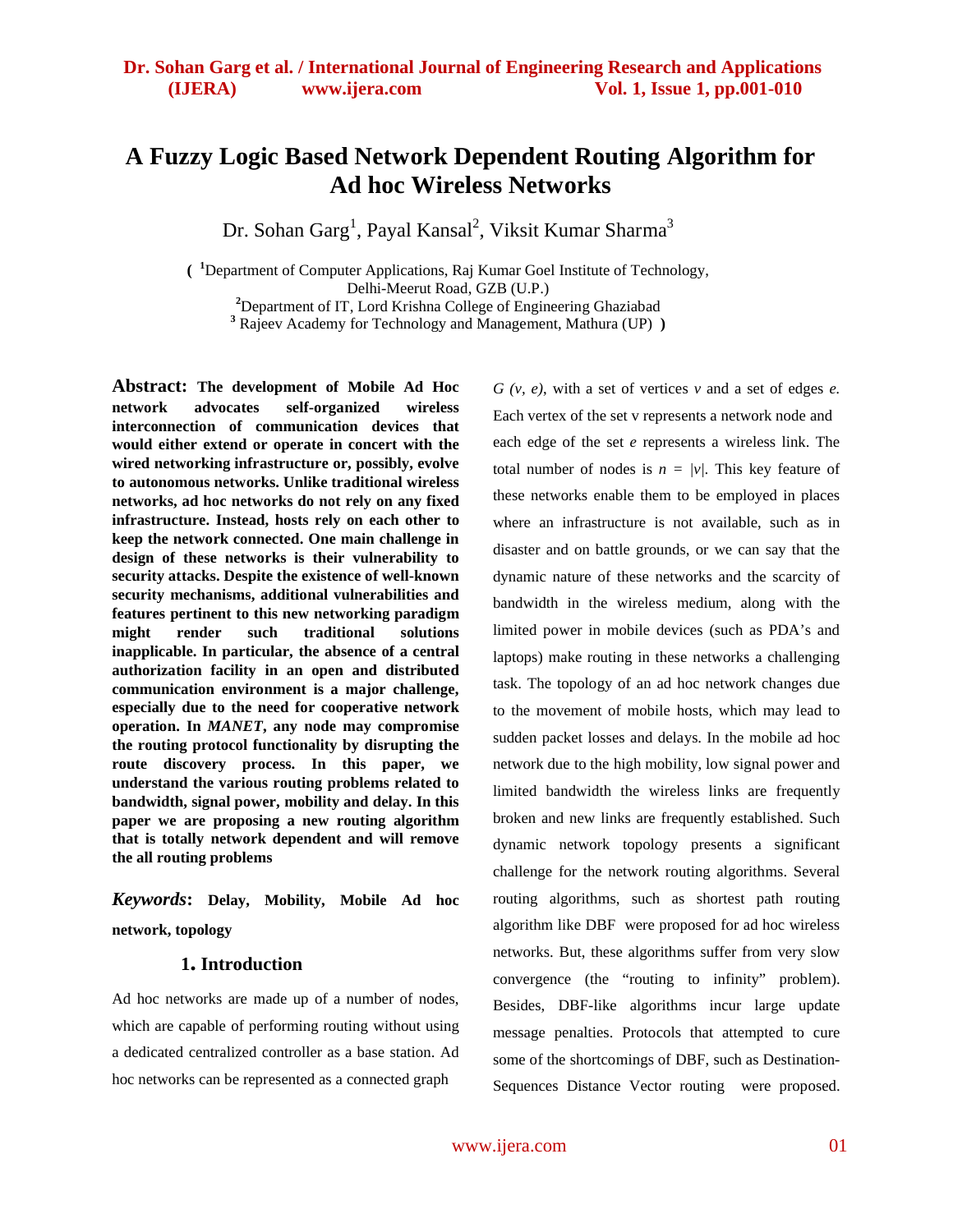# **A Fuzzy Logic Based Network Dependent Routing Algorithm for Ad hoc Wireless Networks**

Dr. Sohan Garg $^1$ , Payal Kansal $^2$ , Viksit Kumar Sharma $^3$ 

**( <sup>1</sup>**Department of Computer Applications, Raj Kumar Goel Institute of Technology, Delhi-Meerut Road, GZB (U.P.) **<sup>2</sup>** Department of IT, Lord Krishna College of Engineering Ghaziabad

**<sup>3</sup>** Rajeev Academy for Technology and Management, Mathura (UP) **)**

**Abstract: The development of Mobile Ad Hoc network advocates self-organized wireless interconnection of communication devices that would either extend or operate in concert with the wired networking infrastructure or, possibly, evolve to autonomous networks. Unlike traditional wireless networks, ad hoc networks do not rely on any fixed infrastructure. Instead, hosts rely on each other to keep the network connected. One main challenge in design of these networks is their vulnerability to security attacks. Despite the existence of well-known security mechanisms, additional vulnerabilities and features pertinent to this new networking paradigm might render such traditional solutions inapplicable. In particular, the absence of a central authorization facility in an open and distributed communication environment is a major challenge, especially due to the need for cooperative network operation. In** *MANET***, any node may compromise the routing protocol functionality by disrupting the route discovery process. In this paper, we understand the various routing problems related to bandwidth, signal power, mobility and delay. In this paper we are proposing a new routing algorithm that is totally network dependent and will remove the all routing problems**

*Keywords***: Delay, Mobility, Mobile Ad hoc network, topology**

#### **1. Introduction**

Ad hoc networks are made up of a number of nodes, which are capable of performing routing without using a dedicated centralized controller as a base station. Ad hoc networks can be represented as a connected graph

*G (v, e)*, with a set of vertices *v* and a set of edges *e.*  Each vertex of the set v represents a network node and each edge of the set *e* represents a wireless link. The total number of nodes is  $n = \frac{v}{l}$ . This key feature of these networks enable them to be employed in places where an infrastructure is not available, such as in disaster and on battle grounds, or we can say that the dynamic nature of these networks and the scarcity of bandwidth in the wireless medium, along with the limited power in mobile devices (such as PDA's and laptops) make routing in these networks a challenging task. The topology of an ad hoc network changes due to the movement of mobile hosts, which may lead to sudden packet losses and delays. In the mobile ad hoc network due to the high mobility, low signal power and limited bandwidth the wireless links are frequently broken and new links are frequently established. Such dynamic network topology presents a significant challenge for the network routing algorithms. Several routing algorithms, such as shortest path routing algorithm like DBF were proposed for ad hoc wireless networks. But, these algorithms suffer from very slow convergence (the "routing to infinity" problem). Besides, DBF-like algorithms incur large update message penalties. Protocols that attempted to cure some of the shortcomings of DBF, such as Destination-Sequences Distance Vector routing were proposed.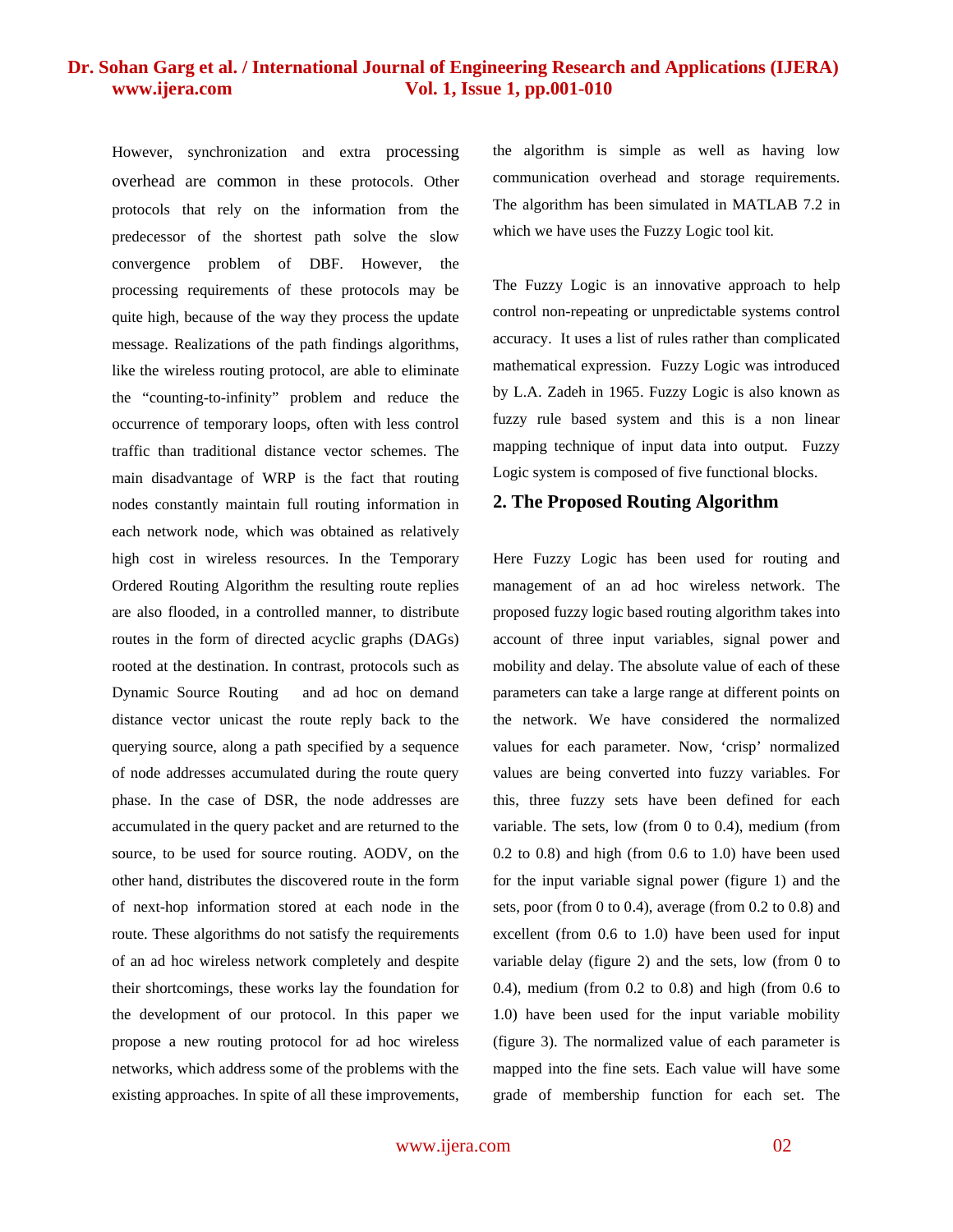However, synchronization and extra processing overhead are common in these protocols. Other protocols that rely on the information from the predecessor of the shortest path solve the slow convergence problem of DBF. However, the processing requirements of these protocols may be quite high, because of the way they process the update message. Realizations of the path findings algorithms, like the wireless routing protocol, are able to eliminate the "counting-to-infinity" problem and reduce the occurrence of temporary loops, often with less control traffic than traditional distance vector schemes. The main disadvantage of WRP is the fact that routing nodes constantly maintain full routing information in each network node, which was obtained as relatively high cost in wireless resources. In the Temporary Ordered Routing Algorithm the resulting route replies are also flooded, in a controlled manner, to distribute routes in the form of directed acyclic graphs (DAGs) rooted at the destination. In contrast, protocols such as Dynamic Source Routing and ad hoc on demand distance vector unicast the route reply back to the querying source, along a path specified by a sequence of node addresses accumulated during the route query phase. In the case of DSR, the node addresses are accumulated in the query packet and are returned to the source, to be used for source routing. AODV, on the other hand, distributes the discovered route in the form of next-hop information stored at each node in the route. These algorithms do not satisfy the requirements of an ad hoc wireless network completely and despite their shortcomings, these works lay the foundation for the development of our protocol. In this paper we propose a new routing protocol for ad hoc wireless networks, which address some of the problems with the existing approaches. In spite of all these improvements, the algorithm is simple as well as having low communication overhead and storage requirements. The algorithm has been simulated in MATLAB 7.2 in which we have uses the Fuzzy Logic tool kit.

The Fuzzy Logic is an innovative approach to help control non-repeating or unpredictable systems control accuracy. It uses a list of rules rather than complicated mathematical expression. Fuzzy Logic was introduced by L.A. Zadeh in 1965. Fuzzy Logic is also known as fuzzy rule based system and this is a non linear mapping technique of input data into output. Fuzzy Logic system is composed of five functional blocks.

#### **2. The Proposed Routing Algorithm**

Here Fuzzy Logic has been used for routing and management of an ad hoc wireless network. The proposed fuzzy logic based routing algorithm takes into account of three input variables, signal power and mobility and delay. The absolute value of each of these parameters can take a large range at different points on the network. We have considered the normalized values for each parameter. Now, 'crisp' normalized values are being converted into fuzzy variables. For this, three fuzzy sets have been defined for each variable. The sets, low (from 0 to 0.4), medium (from 0.2 to 0.8) and high (from 0.6 to 1.0) have been used for the input variable signal power (figure 1) and the sets, poor (from 0 to 0.4), average (from 0.2 to 0.8) and excellent (from 0.6 to 1.0) have been used for input variable delay (figure 2) and the sets, low (from 0 to 0.4), medium (from  $0.2$  to  $0.8$ ) and high (from  $0.6$  to 1.0) have been used for the input variable mobility (figure 3). The normalized value of each parameter is mapped into the fine sets. Each value will have some grade of membership function for each set. The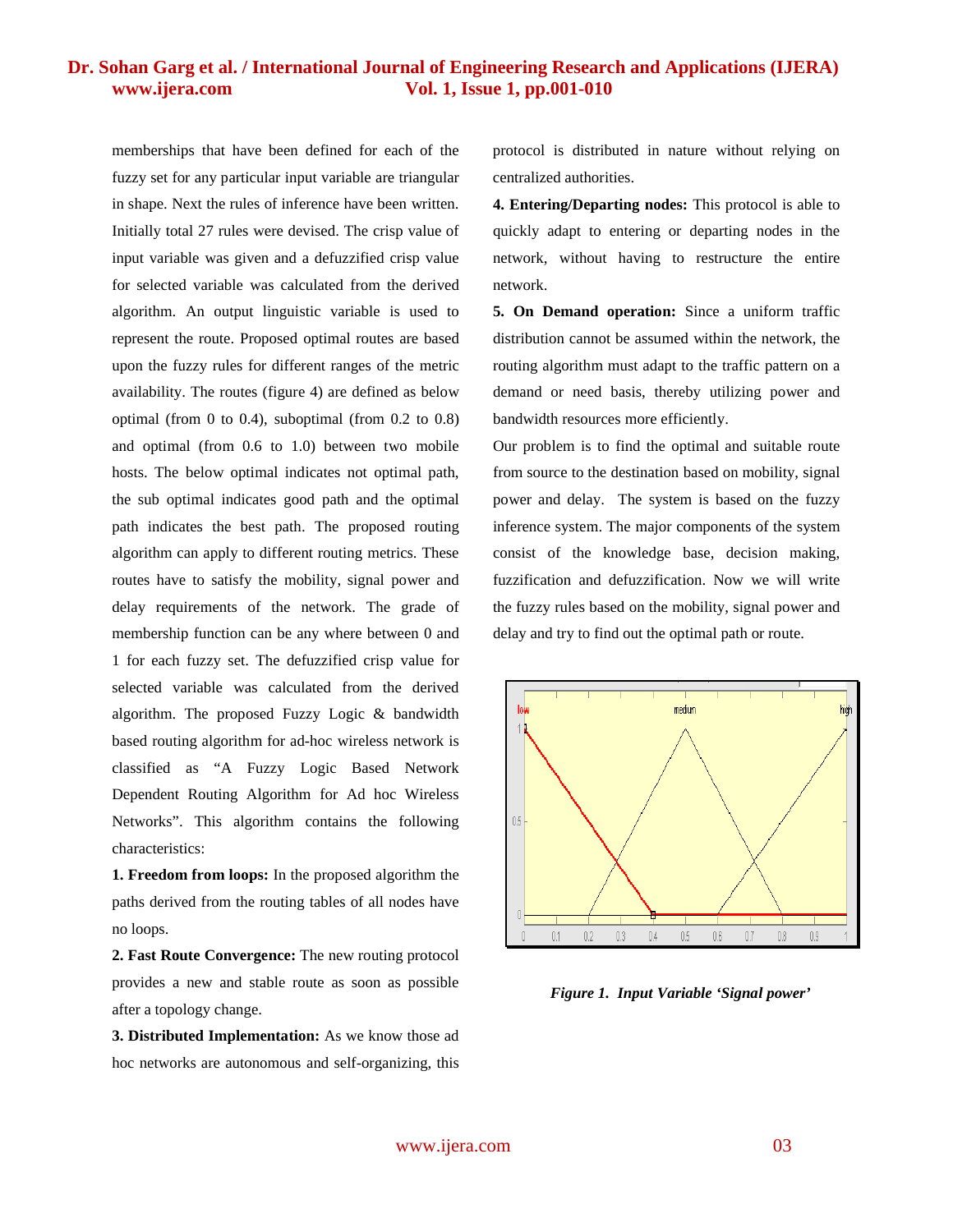memberships that have been defined for each of the fuzzy set for any particular input variable are triangular in shape. Next the rules of inference have been written. Initially total 27 rules were devised. The crisp value of input variable was given and a defuzzified crisp value for selected variable was calculated from the derived algorithm. An output linguistic variable is used to represent the route. Proposed optimal routes are based upon the fuzzy rules for different ranges of the metric availability. The routes (figure 4) are defined as below optimal (from 0 to 0.4), suboptimal (from 0.2 to 0.8) and optimal (from 0.6 to 1.0) between two mobile hosts. The below optimal indicates not optimal path, the sub optimal indicates good path and the optimal path indicates the best path. The proposed routing algorithm can apply to different routing metrics. These routes have to satisfy the mobility, signal power and delay requirements of the network. The grade of membership function can be any where between 0 and 1 for each fuzzy set. The defuzzified crisp value for selected variable was calculated from the derived algorithm. The proposed Fuzzy Logic & bandwidth based routing algorithm for ad-hoc wireless network is classified as "A Fuzzy Logic Based Network Dependent Routing Algorithm for Ad hoc Wireless Networks". This algorithm contains the following characteristics:

**1. Freedom from loops:** In the proposed algorithm the paths derived from the routing tables of all nodes have no loops.

**2. Fast Route Convergence:** The new routing protocol provides a new and stable route as soon as possible after a topology change.

**3. Distributed Implementation:** As we know those ad hoc networks are autonomous and self-organizing, this protocol is distributed in nature without relying on centralized authorities.

**4. Entering/Departing nodes:** This protocol is able to quickly adapt to entering or departing nodes in the network, without having to restructure the entire network.

**5. On Demand operation:** Since a uniform traffic distribution cannot be assumed within the network, the routing algorithm must adapt to the traffic pattern on a demand or need basis, thereby utilizing power and bandwidth resources more efficiently.

Our problem is to find the optimal and suitable route from source to the destination based on mobility, signal power and delay. The system is based on the fuzzy inference system. The major components of the system consist of the knowledge base, decision making, fuzzification and defuzzification. Now we will write the fuzzy rules based on the mobility, signal power and delay and try to find out the optimal path or route.



*Figure 1. Input Variable 'Signal power'*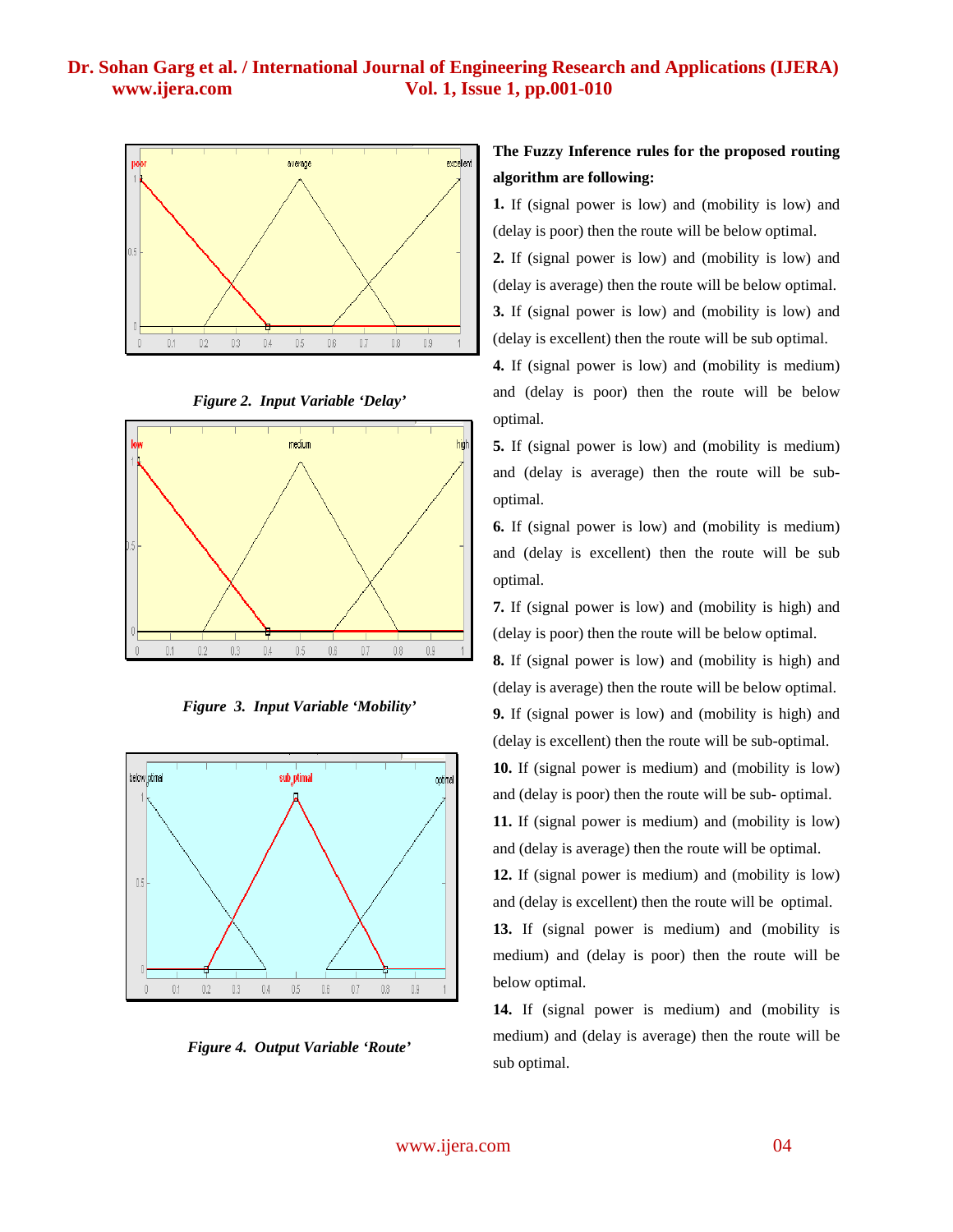





*Figure 3. Input Variable 'Mobility'*



*Figure 4. Output Variable 'Route'*

# **The Fuzzy Inference rules for the proposed routing algorithm are following:**

**1.** If (signal power is low) and (mobility is low) and (delay is poor) then the route will be below optimal.

**2.** If (signal power is low) and (mobility is low) and (delay is average) then the route will be below optimal. **3.** If (signal power is low) and (mobility is low) and (delay is excellent) then the route will be sub optimal.

**4.** If (signal power is low) and (mobility is medium) and (delay is poor) then the route will be below optimal.

**5.** If (signal power is low) and (mobility is medium) and (delay is average) then the route will be suboptimal.

**6.** If (signal power is low) and (mobility is medium) and (delay is excellent) then the route will be sub optimal.

**7.** If (signal power is low) and (mobility is high) and (delay is poor) then the route will be below optimal.

**8.** If (signal power is low) and (mobility is high) and (delay is average) then the route will be below optimal. **9.** If (signal power is low) and (mobility is high) and (delay is excellent) then the route will be sub-optimal.

**10.** If (signal power is medium) and (mobility is low) and (delay is poor) then the route will be sub- optimal.

**11.** If (signal power is medium) and (mobility is low) and (delay is average) then the route will be optimal.

**12.** If (signal power is medium) and (mobility is low) and (delay is excellent) then the route will be optimal.

**13.** If (signal power is medium) and (mobility is medium) and (delay is poor) then the route will be below optimal.

**14.** If (signal power is medium) and (mobility is medium) and (delay is average) then the route will be sub optimal.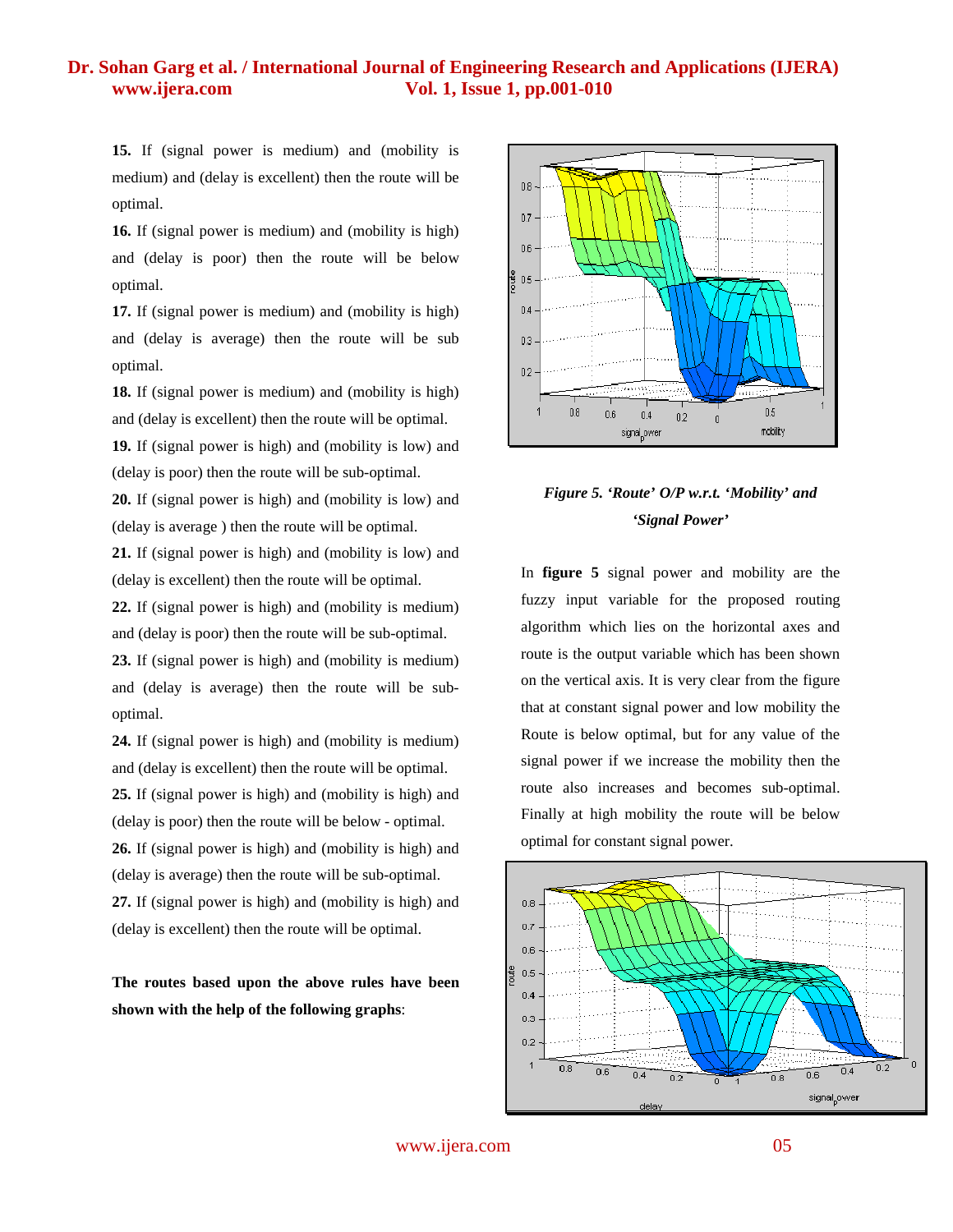**15.** If (signal power is medium) and (mobility is medium) and (delay is excellent) then the route will be optimal.

**16.** If (signal power is medium) and (mobility is high) and (delay is poor) then the route will be below optimal.

**17.** If (signal power is medium) and (mobility is high) and (delay is average) then the route will be sub optimal.

**18.** If (signal power is medium) and (mobility is high) and (delay is excellent) then the route will be optimal.

**19.** If (signal power is high) and (mobility is low) and (delay is poor) then the route will be sub-optimal.

**20.** If (signal power is high) and (mobility is low) and (delay is average ) then the route will be optimal.

**21.** If (signal power is high) and (mobility is low) and (delay is excellent) then the route will be optimal.

**22.** If (signal power is high) and (mobility is medium) and (delay is poor) then the route will be sub-optimal.

**23.** If (signal power is high) and (mobility is medium) and (delay is average) then the route will be suboptimal.

**24.** If (signal power is high) and (mobility is medium) and (delay is excellent) then the route will be optimal. **25.** If (signal power is high) and (mobility is high) and (delay is poor) then the route will be below - optimal. **26.** If (signal power is high) and (mobility is high) and (delay is average) then the route will be sub-optimal. **27.** If (signal power is high) and (mobility is high) and (delay is excellent) then the route will be optimal.

**The routes based upon the above rules have been shown with the help of the following graphs**:



# *Figure 5. 'Route' O/P w.r.t. 'Mobility' and 'Signal Power'*

In **figure 5** signal power and mobility are the fuzzy input variable for the proposed routing algorithm which lies on the horizontal axes and route is the output variable which has been shown on the vertical axis. It is very clear from the figure that at constant signal power and low mobility the Route is below optimal, but for any value of the signal power if we increase the mobility then the route also increases and becomes sub-optimal. Finally at high mobility the route will be below optimal for constant signal power.



www.ijera.com 05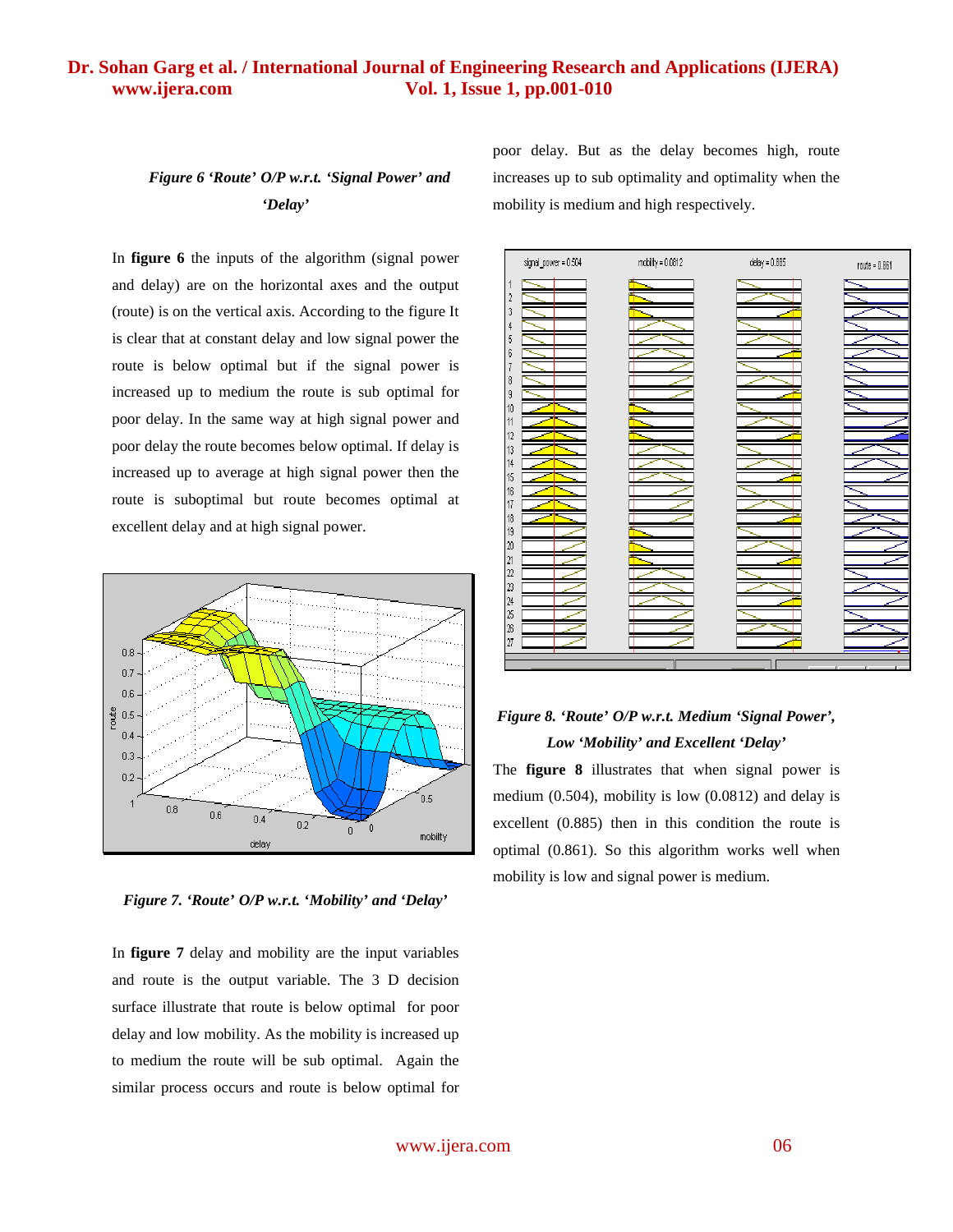# *Figure 6 'Route' O/P w.r.t. 'Signal Power' and 'Delay'*

poor delay. But as the delay becomes high, route increases up to sub optimality and optimality when the mobility is medium and high respectively.

In **figure 6** the inputs of the algorithm (signal power and delay) are on the horizontal axes and the output (route) is on the vertical axis. According to the figure It is clear that at constant delay and low signal power the route is below optimal but if the signal power is increased up to medium the route is sub optimal for poor delay. In the same way at high signal power and poor delay the route becomes below optimal. If delay is increased up to average at high signal power then the route is suboptimal but route becomes optimal at excellent delay and at high signal power.



*Figure 7. 'Route' O/P w.r.t. 'Mobility' and 'Delay'*

In **figure 7** delay and mobility are the input variables and route is the output variable. The 3 D decision surface illustrate that route is below optimal for poor delay and low mobility. As the mobility is increased up to medium the route will be sub optimal. Again the similar process occurs and route is below optimal for



# *Figure 8. 'Route' O/P w.r.t. Medium 'Signal Power', Low 'Mobility' and Excellent 'Delay'*

The **figure 8** illustrates that when signal power is medium (0.504), mobility is low (0.0812) and delay is excellent (0.885) then in this condition the route is optimal (0.861). So this algorithm works well when mobility is low and signal power is medium.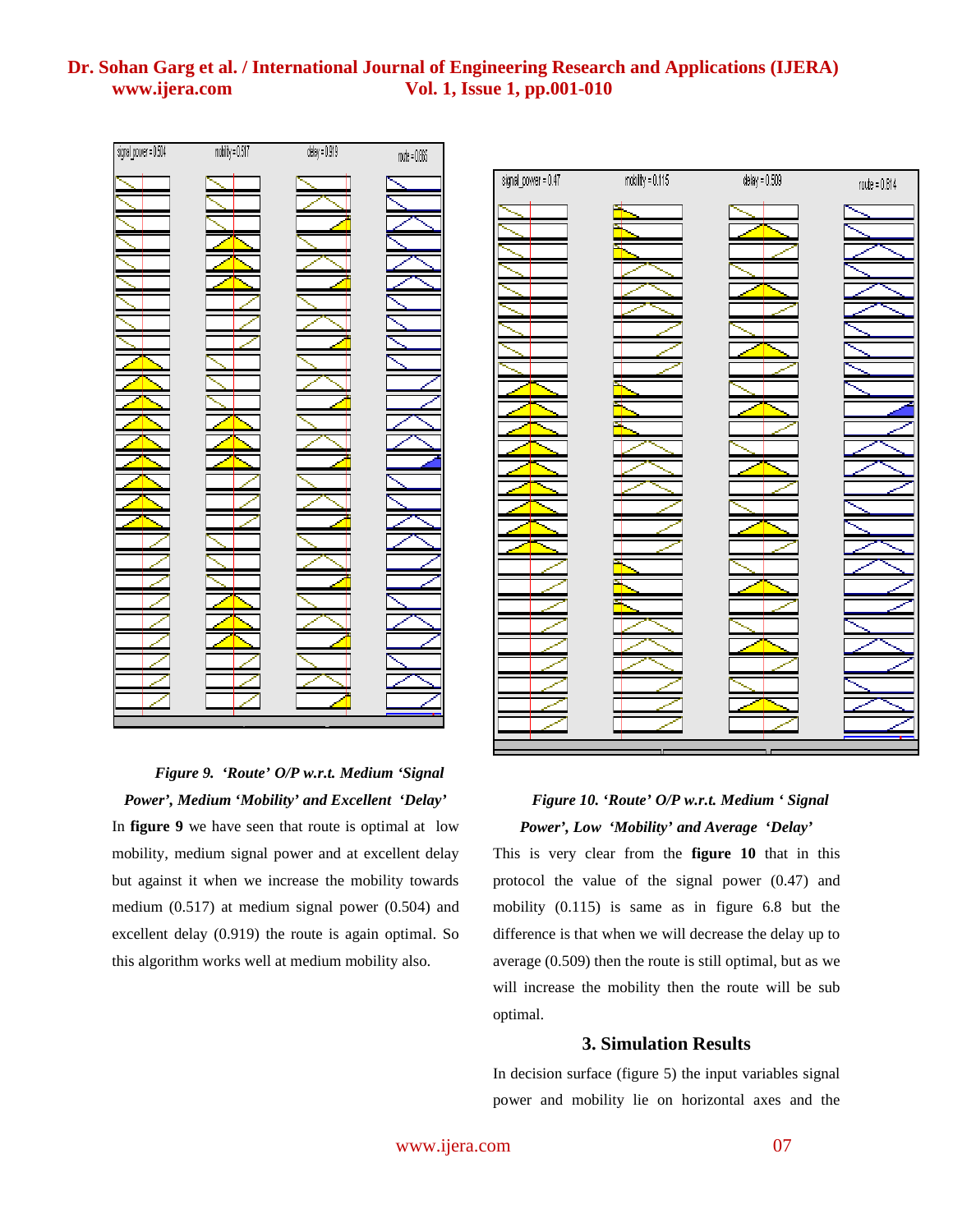

*Figure 9. 'Route' O/P w.r.t. Medium 'Signal Power', Medium 'Mobility' and Excellent 'Delay'* In **figure 9** we have seen that route is optimal at low mobility, medium signal power and at excellent delay but against it when we increase the mobility towards medium (0.517) at medium signal power (0.504) and excellent delay (0.919) the route is again optimal. So this algorithm works well at medium mobility also.



# *Figure 10. 'Route' O/P w.r.t. Medium ' Signal Power', Low 'Mobility' and Average 'Delay'*

This is very clear from the **figure 10** that in this protocol the value of the signal power (0.47) and mobility (0.115) is same as in figure 6.8 but the difference is that when we will decrease the delay up to average (0.509) then the route is still optimal, but as we will increase the mobility then the route will be sub optimal.

### **3. Simulation Results**

In decision surface (figure 5) the input variables signal power and mobility lie on horizontal axes and the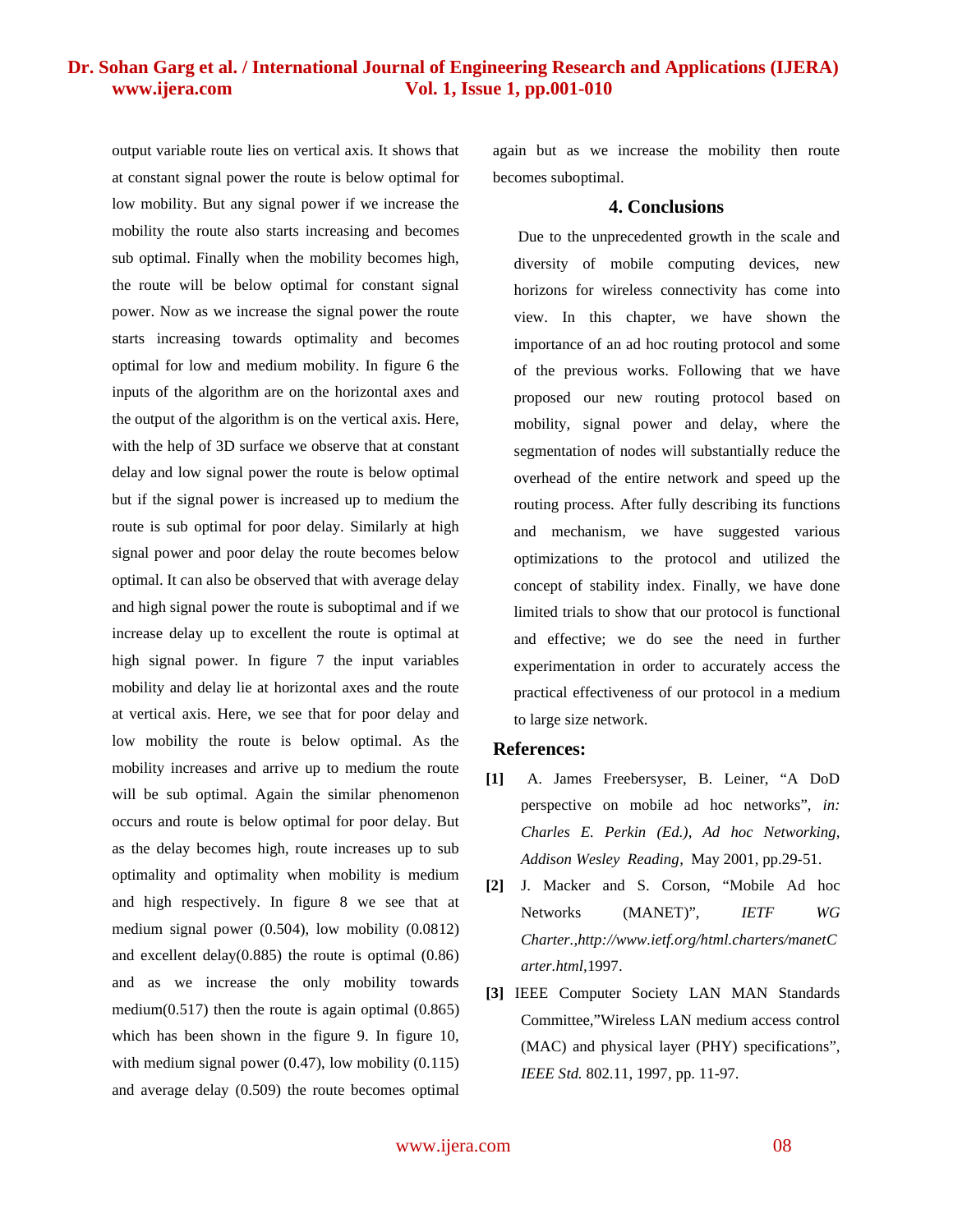output variable route lies on vertical axis. It shows that at constant signal power the route is below optimal for low mobility. But any signal power if we increase the mobility the route also starts increasing and becomes sub optimal. Finally when the mobility becomes high, the route will be below optimal for constant signal power. Now as we increase the signal power the route starts increasing towards optimality and becomes optimal for low and medium mobility. In figure 6 the inputs of the algorithm are on the horizontal axes and the output of the algorithm is on the vertical axis. Here, with the help of 3D surface we observe that at constant delay and low signal power the route is below optimal but if the signal power is increased up to medium the route is sub optimal for poor delay. Similarly at high signal power and poor delay the route becomes below optimal. It can also be observed that with average delay and high signal power the route is suboptimal and if we increase delay up to excellent the route is optimal at high signal power. In figure 7 the input variables mobility and delay lie at horizontal axes and the route at vertical axis. Here, we see that for poor delay and low mobility the route is below optimal. As the mobility increases and arrive up to medium the route will be sub optimal. Again the similar phenomenon occurs and route is below optimal for poor delay. But as the delay becomes high, route increases up to sub optimality and optimality when mobility is medium and high respectively. In figure 8 we see that at medium signal power (0.504), low mobility (0.0812) and excellent delay(0.885) the route is optimal (0.86) and as we increase the only mobility towards medium $(0.517)$  then the route is again optimal  $(0.865)$ which has been shown in the figure 9. In figure 10, with medium signal power  $(0.47)$ , low mobility  $(0.115)$ and average delay (0.509) the route becomes optimal

again but as we increase the mobility then route becomes suboptimal.

#### **4. Conclusions**

 Due to the unprecedented growth in the scale and diversity of mobile computing devices, new horizons for wireless connectivity has come into view. In this chapter, we have shown the importance of an ad hoc routing protocol and some of the previous works. Following that we have proposed our new routing protocol based on mobility, signal power and delay, where the segmentation of nodes will substantially reduce the overhead of the entire network and speed up the routing process. After fully describing its functions and mechanism, we have suggested various optimizations to the protocol and utilized the concept of stability index. Finally, we have done limited trials to show that our protocol is functional and effective; we do see the need in further experimentation in order to accurately access the practical effectiveness of our protocol in a medium to large size network.

#### **References:**

- **[1]** A. James Freebersyser, B. Leiner, "A DoD perspective on mobile ad hoc networks", *in: Charles E. Perkin (Ed.), Ad hoc Networking, Addison Wesley Reading*, May 2001, pp.29-51.
- **[2]** J. Macker and S. Corson, "Mobile Ad hoc Networks (MANET)", *IETF WG Charter.,http://www.ietf.org/html.charters/manetC arter.html,*1997.
- **[3]** IEEE Computer Society LAN MAN Standards Committee,"Wireless LAN medium access control (MAC) and physical layer (PHY) specifications", *IEEE Std.* 802.11, 1997, pp. 11-97.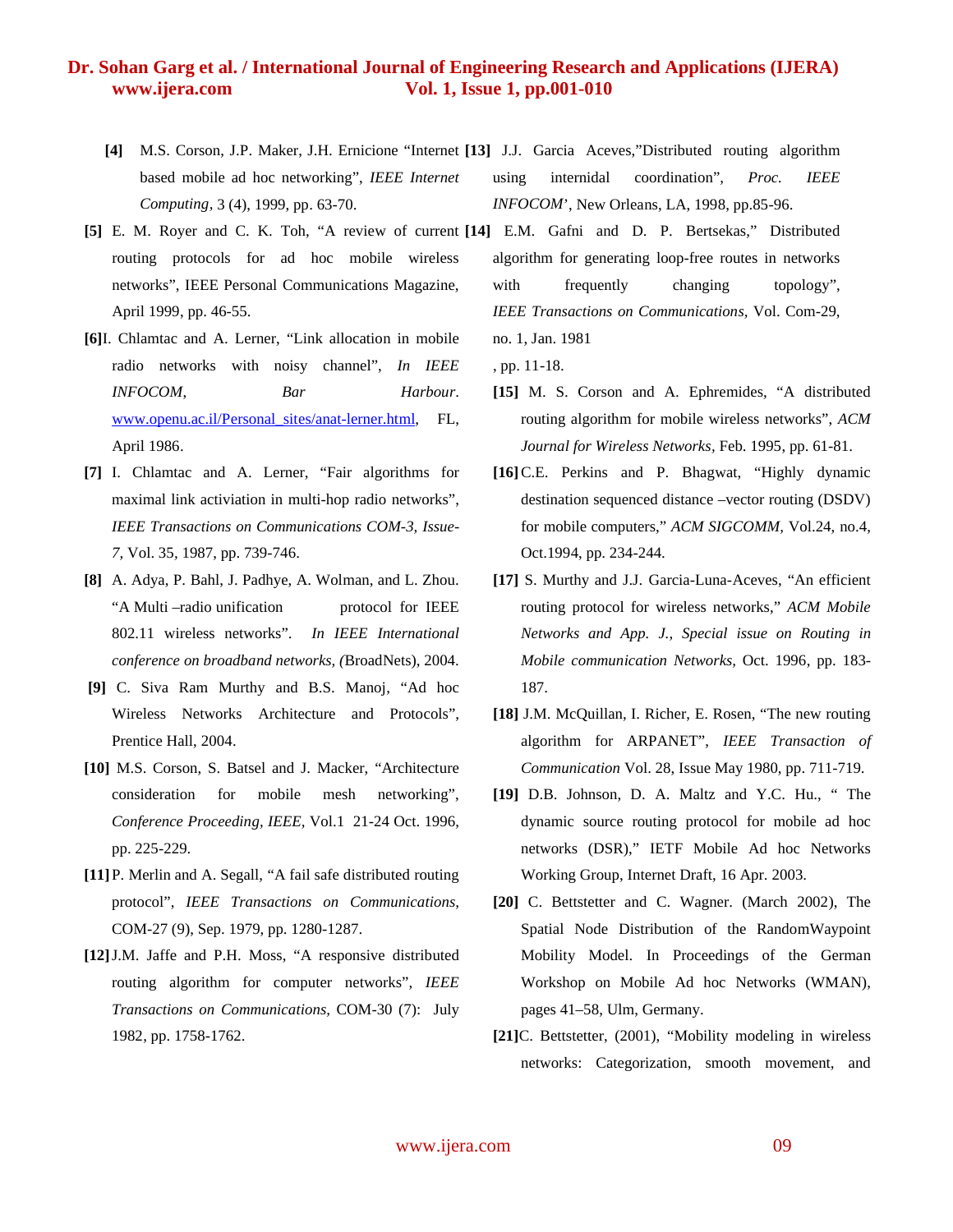- based mobile ad hoc networking", *IEEE Internet Computing,* 3 (4), 1999, pp. 63-70.
- **[5]** E. M. Royer and C. K. Toh, "A review of current **[14]** E.M. Gafni and D. P. Bertsekas," Distributed routing protocols for ad hoc mobile wireless networks", IEEE Personal Communications Magazine, April 1999, pp. 46-55.
- **[6]**I. Chlamtac and A. Lerner, "Link allocation in mobile radio networks with noisy channel", *In IEEE INFOCOM*, *Bar Harbour*. www.openu.ac.il/Personal\_sites/anat-lerner.html, FL, April 1986.
- **[7]** I. Chlamtac and A. Lerner, "Fair algorithms for maximal link activiation in multi-hop radio networks", *IEEE Transactions on Communications COM-3, Issue-7,* Vol. 35*,* 1987, pp. 739-746.
- **[8]** A. Adya, P. Bahl, J. Padhye, A. Wolman, and L. Zhou. "A Multi-radio unification protocol for IEEE 802.11 wireless networks". *In IEEE International conference on broadband networks, (*BroadNets), 2004.
- **[9]** C. Siva Ram Murthy and B.S. Manoj, "Ad hoc Wireless Networks Architecture and Protocols", Prentice Hall, 2004.
- **[10]** M.S. Corson, S. Batsel and J. Macker, "Architecture consideration for mobile mesh networking", *Conference Proceeding, IEEE,* Vol.1 21-24 Oct. 1996, pp. 225-229.
- **[11]**P. Merlin and A. Segall, "A fail safe distributed routing protocol", *IEEE Transactions on Communications,* COM-27 (9), Sep. 1979, pp. 1280-1287.
- **[12]**J.M. Jaffe and P.H. Moss, "A responsive distributed routing algorithm for computer networks", *IEEE Transactions on Communications,* COM-30 (7): July 1982, pp. 1758-1762.
- **[4]** M.S. Corson, J.P. Maker, J.H. Ernicione "Internet **[13]** J.J. Garcia Aceves,"Distributed routing algorithm using internidal coordination", *Proc. IEEE INFOCOM*', New Orleans, LA, 1998, pp.85-96.
	- algorithm for generating loop-free routes in networks with frequently changing topology", *IEEE Transactions on Communications,* Vol. Com-29, no. 1, Jan. 1981
		- , pp. 11-18.
		- **[15]** M. S. Corson and A. Ephremides, "A distributed routing algorithm for mobile wireless networks", *ACM Journal for Wireless Networks,* Feb. 1995, pp. 61-81.
		- **[16]**C.E. Perkins and P. Bhagwat, "Highly dynamic destination sequenced distance –vector routing (DSDV) for mobile computers," *ACM SIGCOMM,* Vol.24, no.4, Oct.1994, pp. 234-244.
		- **[17]** S. Murthy and J.J. Garcia-Luna-Aceves, "An efficient routing protocol for wireless networks," *ACM Mobile Networks and App. J., Special issue on Routing in Mobile communication Networks,* Oct. 1996, pp. 183- 187.
		- **[18]** J.M. McQuillan, I. Richer, E. Rosen, "The new routing algorithm for ARPANET", *IEEE Transaction of Communication* Vol. 28, Issue May 1980, pp. 711-719.
		- **[19]** D.B. Johnson, D. A. Maltz and Y.C. Hu., " The dynamic source routing protocol for mobile ad hoc networks (DSR)," IETF Mobile Ad hoc Networks Working Group, Internet Draft, 16 Apr. 2003.
		- **[20]** C. Bettstetter and C. Wagner. (March 2002), The Spatial Node Distribution of the RandomWaypoint Mobility Model. In Proceedings of the German Workshop on Mobile Ad hoc Networks (WMAN), pages 41–58, Ulm, Germany.
		- **[21]**C. Bettstetter, (2001), "Mobility modeling in wireless networks: Categorization, smooth movement, and